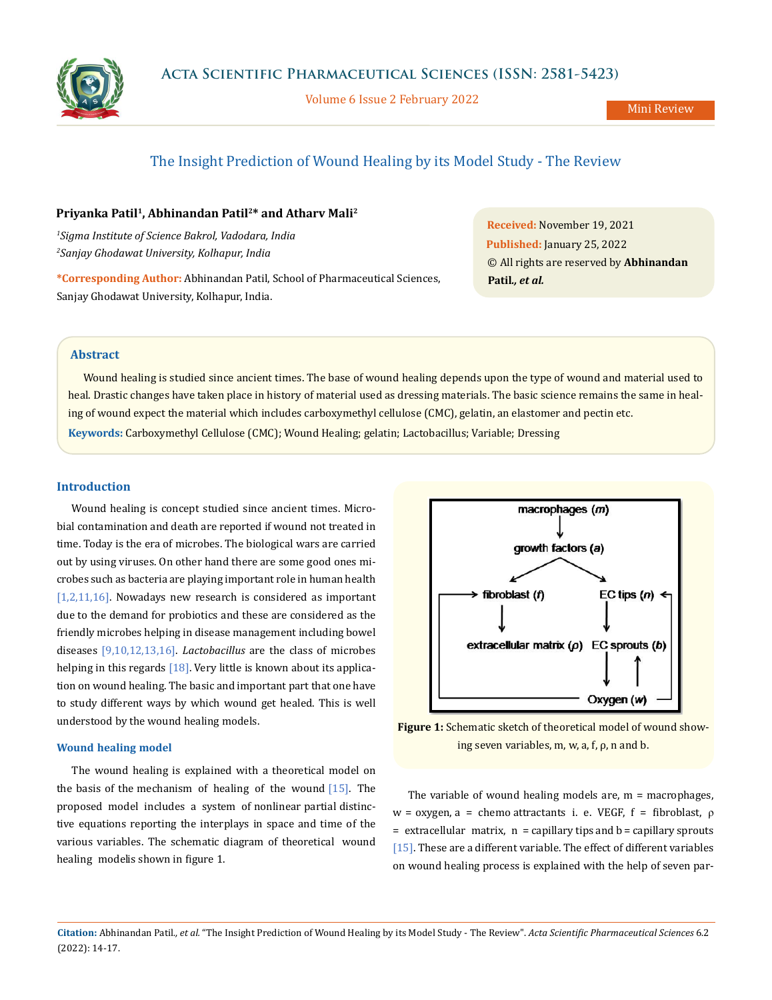

Volume 6 Issue 2 February 2022

# The Insight Prediction of Wound Healing by its Model Study - The Review

## **Priyanka Patil1, Abhinandan Patil2\* and Atharv Mali2**

*1 Sigma Institute of Science Bakrol, Vadodara, India 2 Sanjay Ghodawat University, Kolhapur, India*

**\*Corresponding Author:** Abhinandan Patil, School of Pharmaceutical Sciences, Sanjay Ghodawat University, Kolhapur, India.

**Received:** November 19, 2021 **Published:** January 25, 2022 © All rights are reserved by **Abhinandan Patil***., et al.*

# **Abstract**

Wound healing is studied since ancient times. The base of wound healing depends upon the type of wound and material used to heal. Drastic changes have taken place in history of material used as dressing materials. The basic science remains the same in healing of wound expect the material which includes carboxymethyl cellulose (CMC), gelatin, an elastomer and pectin etc.

**Keywords:** Carboxymethyl Cellulose (CMC); Wound Healing; gelatin; Lactobacillus; Variable; Dressing

# **Introduction**

Wound healing is concept studied since ancient times. Microbial contamination and death are reported if wound not treated in time. Today is the era of microbes. The biological wars are carried out by using viruses. On other hand there are some good ones microbes such as bacteria are playing important role in human health [1,2,11,16]. Nowadays new research is considered as important due to the demand for probiotics and these are considered as the friendly microbes helping in disease management including bowel diseases [9,10,12,13,16]. *Lactobacillus* are the class of microbes helping in this regards  $[18]$ . Very little is known about its application on wound healing. The basic and important part that one have to study different ways by which wound get healed. This is well understood by the wound healing models.

#### **Wound healing model**

The wound healing is explained with a theoretical model on the basis of the mechanism of healing of the wound  $[15]$ . The proposed model includes a system of nonlinear partial distinctive equations reporting the interplays in space and time of the various variables. The schematic diagram of theoretical wound healing modelis shown in figure 1.



**Figure 1:** Schematic sketch of theoretical model of wound showing seven variables, m, w, a, f, ρ, n and b.

The variable of wound healing models are,  $m = macrophages$ ,  $w =$  oxygen, a = chemo attractants i. e. VEGF, f = fibroblast, ρ  $=$  extracellular matrix,  $n =$  capillary tips and  $b =$  capillary sprouts [15]. These are a different variable. The effect of different variables on wound healing process is explained with the help of seven par-

**Citation:** Abhinandan Patil*., et al.* "The Insight Prediction of Wound Healing by its Model Study - The Review". *Acta Scientific Pharmaceutical Sciences* 6.2 (2022): 14-17.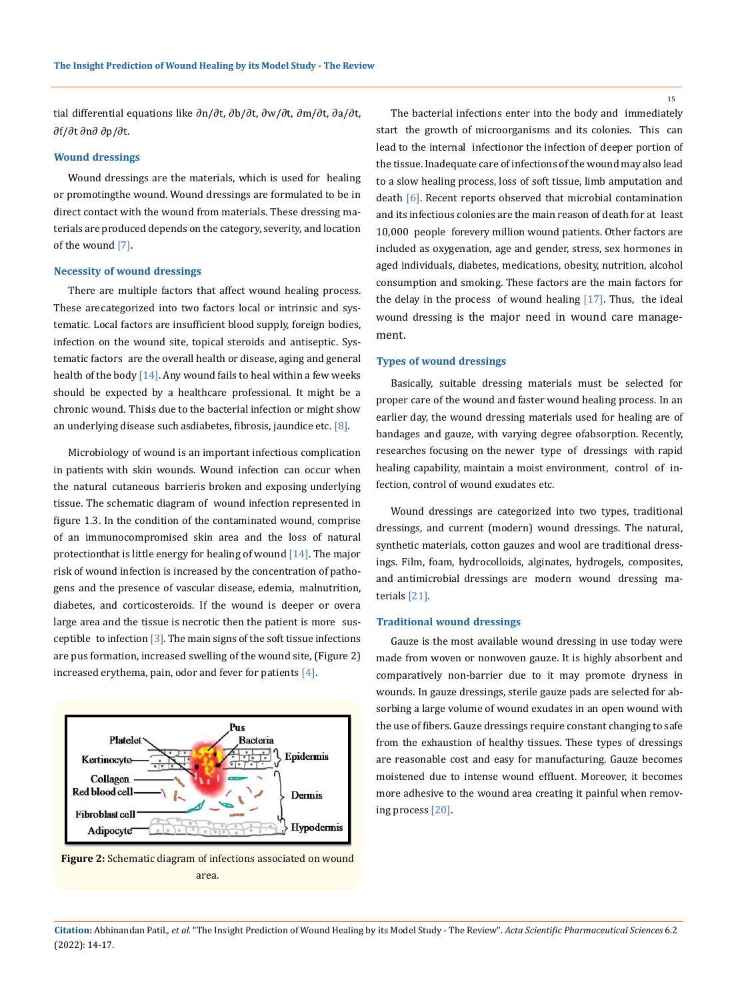tial differential equations like ∂n/∂t, ∂b/∂t, ∂w/∂t, ∂m/∂t, ∂a/∂t, ∂f/∂t ∂n∂ ∂p/∂t.

## **Wound dressings**

Wound dressings are the materials, which is used for healing or promotingthe wound. Wound dressings are formulated to be in direct contact with the wound from materials. These dressing materials are produced depends on the category, severity, and location of the wound [7].

#### **Necessity of wound dressings**

There are multiple factors that affect wound healing process. These are categorized into two factors local or intrinsic and systematic. Local factors are insufficient blood supply, foreign bodies, infection on the wound site, topical steroids and antiseptic. Systematic factors are the overall health or disease, aging and general health of the body  $[14]$ . Any wound fails to heal within a few weeks should be expected by a healthcare professional. It might be a chronic wound. Thisis due to the bacterial infection or might show an underlying disease such as diabetes, fibrosis, jaundice etc.  $[8]$ .

Microbiology of wound is an important infectious complication in patients with skin wounds. Wound infection can occur when the natural cutaneous barrieris broken and exposing underlying tissue. The schematic diagram of wound infection represented in figure 1.3. In the condition of the contaminated wound, comprise of an immunocompromised skin area and the loss of natural protection that is little energy for healing of wound  $[14]$ . The major risk of wound infection is increased by the concentration of pathogens and the presence of vascular disease, edemia, malnutrition, diabetes, and corticosteroids. If the wound is deeper or over a large area and the tissue is necrotic then the patient is more susceptible to infection  $\boxed{3}$ . The main signs of the soft tissue infections are pus formation, increased swelling of the wound site, (Figure 2) increased erythema, pain, odor and fever for patients [4].





The bacterial infections enter into the body and immediately start the growth of microorganisms and its colonies. This can lead to the internal infection or the infection of deeper portion of the tissue. Inadequate care of infections of the wound may also lead to a slow healing process, loss of soft tissue, limb amputation and death [6]. Recent reports observed that microbial contamination and its infectious colonies are the main reason of death for at least 10,000 people forevery million wound patients. Other factors are included as oxygenation, age and gender, stress, sex hormones in aged individuals, diabetes, medications, obesity, nutrition, alcohol consumption and smoking. These factors are the main factors for the delay in the process of wound healing  $[17]$ . Thus, the ideal wound dressing is the major need in wound care management.

## **Types of wound dressings**

Basically, suitable dressing materials must be selected for proper care of the wound and faster wound healing process. In an earlier day, the wound dressing materials used for healing are of bandages and gauze, with varying degree of absorption. Recently, researches focusing on the newer type of dressings with rapid healing capability, maintain a moist environment, control of infection, control of wound exudates etc.

Wound dressings are categorized into two types, traditional dressings, and current (modern) wound dressings. The natural, synthetic materials, cotton gauzes and wool are traditional dressings. Film, foam, hydrocolloids, alginates, hydrogels, composites, and antimicrobial dressings are modern wound dressing materials [21].

#### **Traditional wound dressings**

Gauze is the most available wound dressing in use today were made from woven or nonwoven gauze. It is highly absorbent and comparatively non-barrier due to it may promote dryness in wounds. In gauze dressings, sterile gauze pads are selected for absorbing a large volume of wound exudates in an open wound with the use of fibers. Gauze dressings require constant changing to safe from the exhaustion of healthy tissues. These types of dressings are reasonable cost and easy for manufacturing. Gauze becomes moistened due to intense wound effluent. Moreover, it becomes more adhesive to the wound area creating it painful when removing process [20].

15

**Citation:** Abhinandan Patil*., et al.* "The Insight Prediction of Wound Healing by its Model Study - The Review". *Acta Scientific Pharmaceutical Sciences* 6.2 (2022): 14-17.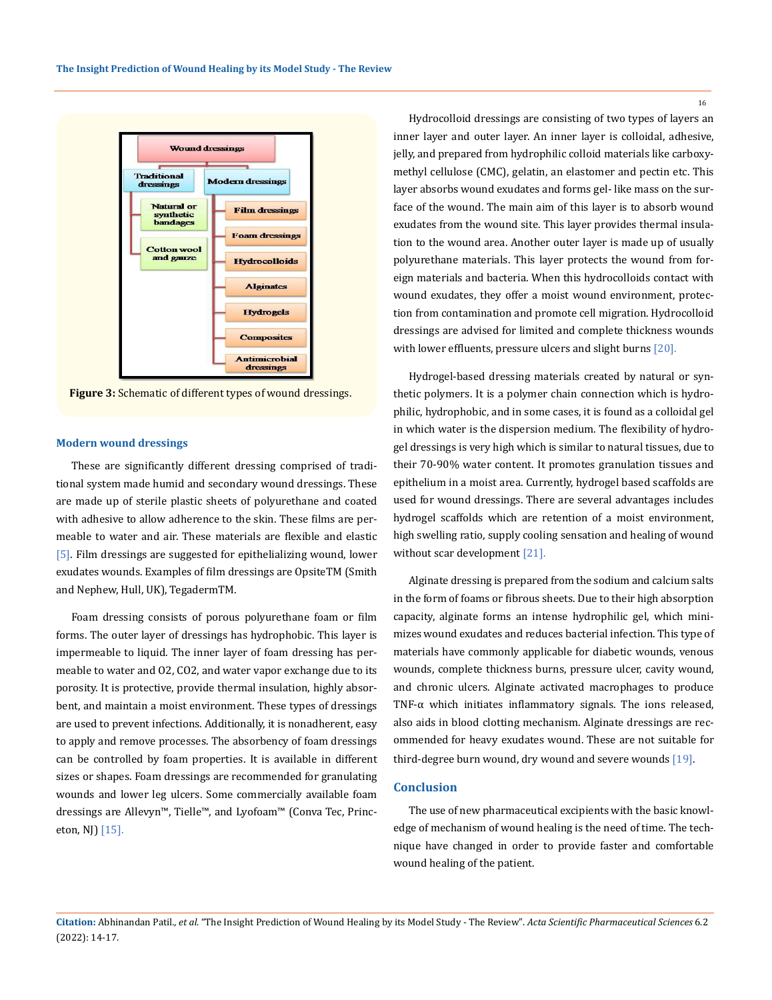



#### **Modern wound dressings**

These are significantly different dressing comprised of traditional system made humid and secondary wound dressings. These are made up of sterile plastic sheets of polyurethane and coated with adhesive to allow adherence to the skin. These films are permeable to water and air. These materials are flexible and elastic [5]. Film dressings are suggested for epithelializing wound, lower exudates wounds. Examples of film dressings are OpsiteTM (Smith and Nephew, Hull, UK), TegadermTM.

Foam dressing consists of porous polyurethane foam or film forms. The outer layer of dressings has hydrophobic. This layer is impermeable to liquid. The inner layer of foam dressing has permeable to water and O2, CO2, and water vapor exchange due to its porosity. It is protective, provide thermal insulation, highly absorbent, and maintain a moist environment. These types of dressings are used to prevent infections. Additionally, it is nonadherent, easy to apply and remove processes. The absorbency of foam dressings can be controlled by foam properties. It is available in different sizes or shapes. Foam dressings are recommended for granulating wounds and lower leg ulcers. Some commercially available foam dressings are Allevyn™, Tielle™, and Lyofoam™ (Conva Tec, Princeton, NJ) [15].

Hydrocolloid dressings are consisting of two types of layers an inner layer and outer layer. An inner layer is colloidal, adhesive, jelly, and prepared from hydrophilic colloid materials like carboxymethyl cellulose (CMC), gelatin, an elastomer and pectin etc. This layer absorbs wound exudates and forms gel- like mass on the surface of the wound. The main aim of this layer is to absorb wound exudates from the wound site. This layer provides thermal insulation to the wound area. Another outer layer is made up of usually polyurethane materials. This layer protects the wound from foreign materials and bacteria. When this hydrocolloids contact with wound exudates, they offer a moist wound environment, protection from contamination and promote cell migration. Hydrocolloid dressings are advised for limited and complete thickness wounds with lower effluents, pressure ulcers and slight burns [20].

Hydrogel-based dressing materials created by natural or synthetic polymers. It is a polymer chain connection which is hydrophilic, hydrophobic, and in some cases, it is found as a colloidal gel in which water is the dispersion medium. The flexibility of hydrogel dressings is very high which is similar to natural tissues, due to their 70-90% water content. It promotes granulation tissues and epithelium in a moist area. Currently, hydrogel based scaffolds are used for wound dressings. There are several advantages includes hydrogel scaffolds which are retention of a moist environment, high swelling ratio, supply cooling sensation and healing of wound without scar development [21].

Alginate dressing is prepared from the sodium and calcium salts in the form of foams or fibrous sheets. Due to their high absorption capacity, alginate forms an intense hydrophilic gel, which minimizes wound exudates and reduces bacterial infection. This type of materials have commonly applicable for diabetic wounds, venous wounds, complete thickness burns, pressure ulcer, cavity wound, and chronic ulcers. Alginate activated macrophages to produce TNF- $\alpha$  which initiates inflammatory signals. The ions released, also aids in blood clotting mechanism. Alginate dressings are recommended for heavy exudates wound. These are not suitable for third-degree burn wound, dry wound and severe wounds [19].

## **Conclusion**

The use of new pharmaceutical excipients with the basic knowledge of mechanism of wound healing is the need of time. The technique have changed in order to provide faster and comfortable wound healing of the patient.

**Citation:** Abhinandan Patil*., et al.* "The Insight Prediction of Wound Healing by its Model Study - The Review". *Acta Scientific Pharmaceutical Sciences* 6.2 (2022): 14-17.

16